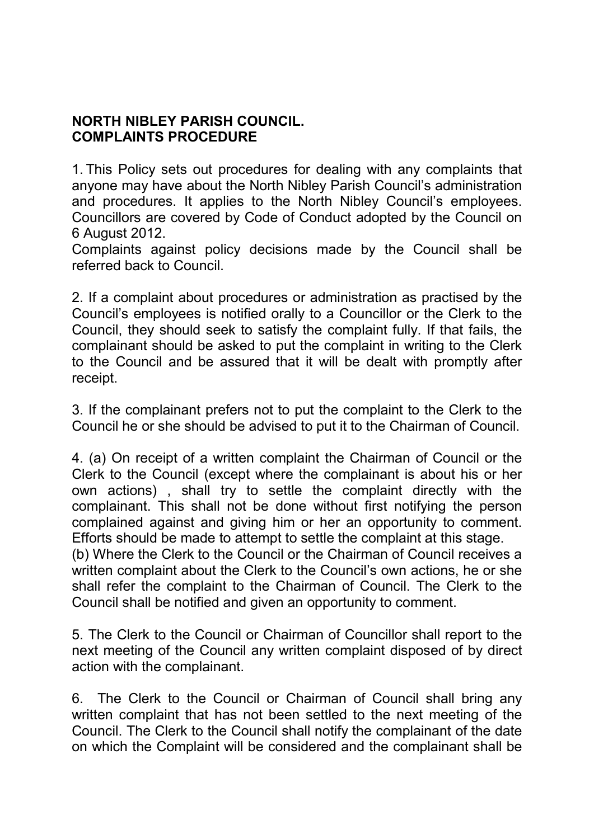## **NORTH NIBLEY PARISH COUNCIL. COMPLAINTS PROCEDURE**

1. This Policy sets out procedures for dealing with any complaints that anyone may have about the North Nibley Parish Council's administration and procedures. It applies to the North Nibley Council's employees. Councillors are covered by Code of Conduct adopted by the Council on 6 August 2012.

Complaints against policy decisions made by the Council shall be referred back to Council.

2. If a complaint about procedures or administration as practised by the Council's employees is notified orally to a Councillor or the Clerk to the Council, they should seek to satisfy the complaint fully. If that fails, the complainant should be asked to put the complaint in writing to the Clerk to the Council and be assured that it will be dealt with promptly after receipt.

3. If the complainant prefers not to put the complaint to the Clerk to the Council he or she should be advised to put it to the Chairman of Council.

4. (a) On receipt of a written complaint the Chairman of Council or the Clerk to the Council (except where the complainant is about his or her own actions) , shall try to settle the complaint directly with the complainant. This shall not be done without first notifying the person complained against and giving him or her an opportunity to comment. Efforts should be made to attempt to settle the complaint at this stage. (b) Where the Clerk to the Council or the Chairman of Council receives a written complaint about the Clerk to the Council's own actions, he or she shall refer the complaint to the Chairman of Council. The Clerk to the Council shall be notified and given an opportunity to comment.

5. The Clerk to the Council or Chairman of Councillor shall report to the next meeting of the Council any written complaint disposed of by direct action with the complainant.

6. The Clerk to the Council or Chairman of Council shall bring any written complaint that has not been settled to the next meeting of the Council. The Clerk to the Council shall notify the complainant of the date on which the Complaint will be considered and the complainant shall be